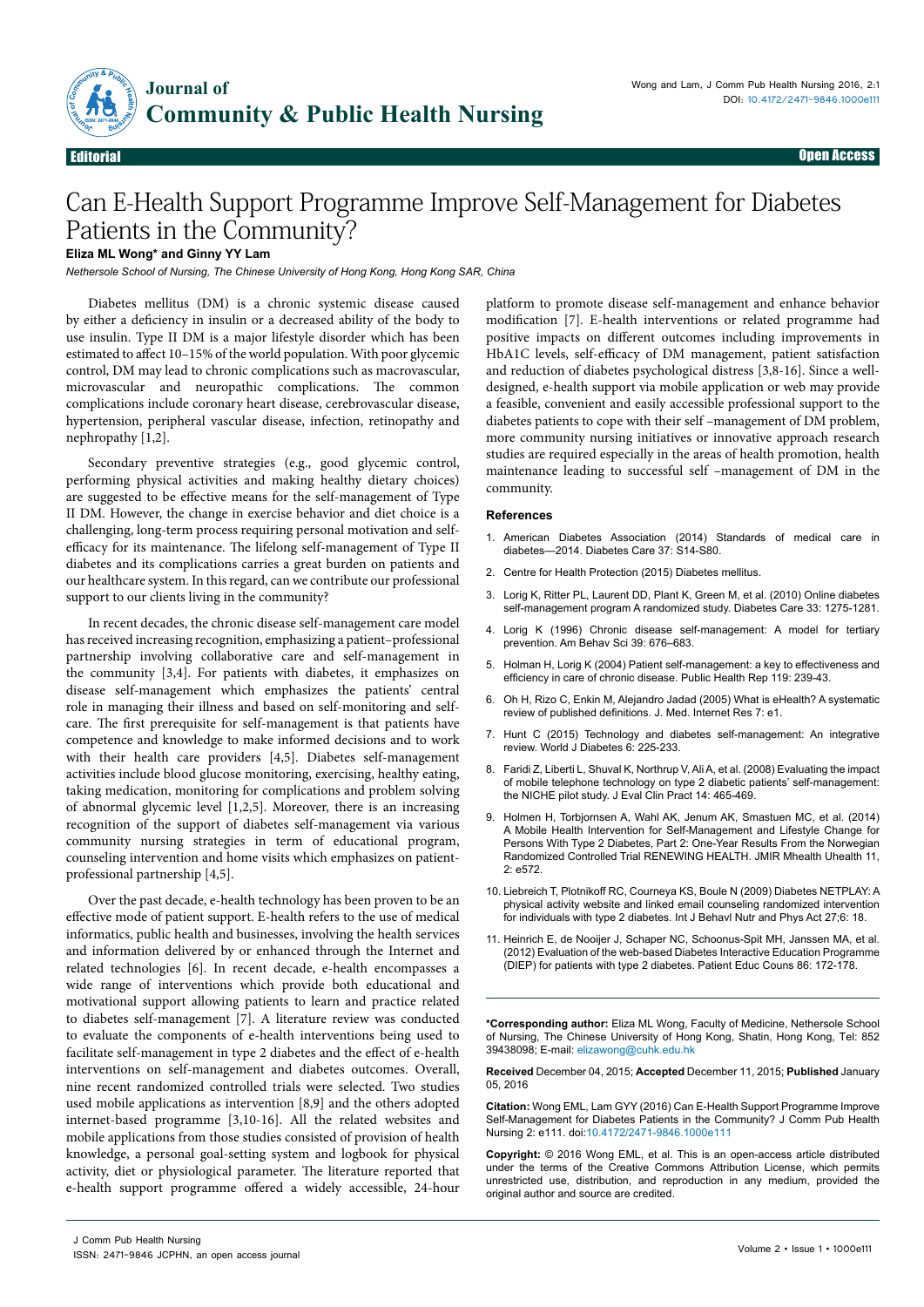

Editorial Open Access

# Can E-Health Support Programme Improve Self-Management for Diabetes Patients in the Community?

## **Eliza ML Wong\* and Ginny YY Lam**

*Nethersole School of Nursing, The Chinese University of Hong Kong, Hong Kong SAR, China*

Diabetes mellitus (DM) is a chronic systemic disease caused by either a deficiency in insulin or a decreased ability of the body to use insulin. Type II DM is a major lifestyle disorder which has been estimated to affect 10–15% of the world population. With poor glycemic control, DM may lead to chronic complications such as macrovascular, microvascular and neuropathic complications. The common complications include coronary heart disease, cerebrovascular disease, hypertension, peripheral vascular disease, infection, retinopathy and nephropathy [1,2].

Secondary preventive strategies (e.g., good glycemic control, performing physical activities and making healthy dietary choices) are suggested to be effective means for the self-management of Type II DM. However, the change in exercise behavior and diet choice is a challenging, long-term process requiring personal motivation and selfefficacy for its maintenance. The lifelong self-management of Type II diabetes and its complications carries a great burden on patients and our healthcare system. In this regard, can we contribute our professional support to our clients living in the community?

In recent decades, the chronic disease self-management care model has received increasing recognition, emphasizing a patient–professional partnership involving collaborative care and self-management in the community [3,4]. For patients with diabetes, it emphasizes on disease self-management which emphasizes the patients' central role in managing their illness and based on self-monitoring and selfcare. The first prerequisite for self-management is that patients have competence and knowledge to make informed decisions and to work with their health care providers [4,5]. Diabetes self-management activities include blood glucose monitoring, exercising, healthy eating, taking medication, monitoring for complications and problem solving of abnormal glycemic level [1,2,5]. Moreover, there is an increasing recognition of the support of diabetes self-management via various community nursing strategies in term of educational program, counseling intervention and home visits which emphasizes on patientprofessional partnership [4,5].

Over the past decade, e-health technology has been proven to be an effective mode of patient support. E-health refers to the use of medical informatics, public health and businesses, involving the health services and information delivered by or enhanced through the Internet and related technologies [6]. In recent decade, e-health encompasses a wide range of interventions which provide both educational and motivational support allowing patients to learn and practice related to diabetes self-management [7]. A literature review was conducted to evaluate the components of e-health interventions being used to facilitate self-management in type 2 diabetes and the effect of e-health interventions on self-management and diabetes outcomes. Overall, nine recent randomized controlled trials were selected. Two studies used mobile applications as intervention [8,9] and the others adopted internet-based programme [3,10-16]. All the related websites and mobile applications from those studies consisted of provision of health knowledge, a personal goal-setting system and logbook for physical activity, diet or physiological parameter. The literature reported that e-health support programme offered a widely accessible, 24-hour

platform to promote disease self-management and enhance behavior modification [7]. E-health interventions or related programme had positive impacts on different outcomes including improvements in HbA1C levels, self-efficacy of DM management, patient satisfaction and reduction of diabetes psychological distress [3,8-16]. Since a welldesigned, e-health support via mobile application or web may provide a feasible, convenient and easily accessible professional support to the diabetes patients to cope with their self –management of DM problem, more community nursing initiatives or innovative approach research studies are required especially in the areas of health promotion, health maintenance leading to successful self –management of DM in the community.

### **References**

- 1. [American Diabetes Association \(2014\) Standards of medical care in](http://www.ncbi.nlm.nih.gov/pubmed/24357209)  [diabetes—2014. Diabetes Care 37: S14-S80.](http://www.ncbi.nlm.nih.gov/pubmed/24357209)
- 2. [Centre for Health Protection \(2015\) Diabetes mellitus.](http://www.chp.gov.hk/en/content/9/25/59.html)
- 3. [Lorig K, Ritter PL, Laurent DD, Plant K, Green M, et al. \(2010\) Online diabetes](http://www.ncbi.nlm.nih.gov/pubmed/20299481)  [self-management program A randomized study.](http://www.ncbi.nlm.nih.gov/pubmed/20299481) Diabetes Care 33: 1275-1281.
- 4. [Lorig K \(1996\) Chronic disease self-management: A model for tertiary](http://abs.sagepub.com/content/39/6/676.abstract)  [prevention. Am Behav Sci 39: 676–683.](http://abs.sagepub.com/content/39/6/676.abstract)
- 5. [Holman H, Lorig K \(2004\) Patient self-management: a key to effectiveness and](http://www.ncbi.nlm.nih.gov/pmc/articles/PMC1497631/)  [efficiency in care of chronic disease. Public Health Rep 119: 239-43.](http://www.ncbi.nlm.nih.gov/pmc/articles/PMC1497631/)
- 6. [Oh H, Rizo C, Enkin M, Alejandro Jadad \(2005\) What is eHealth? A systematic](http://www.ncbi.nlm.nih.gov/pmc/articles/PMC1550636/)  [review of published definitions. J. Med. Internet Res 7: e1.](http://www.ncbi.nlm.nih.gov/pmc/articles/PMC1550636/)
- 7. [Hunt C \(2015\) Technology and diabetes self-management: An integrative](http://www.ncbi.nlm.nih.gov/pmc/articles/PMC4360416/)  [review. World J Diabetes 6: 225-233.](http://www.ncbi.nlm.nih.gov/pmc/articles/PMC4360416/)
- 8. [Faridi Z, Liberti L, Shuval K, Northrup V, Ali A, et al. \(2008\) Evaluating the impact](http://www.ncbi.nlm.nih.gov/pubmed/18373577)  [of mobile telephone technology on type 2 diabetic patients' self-management:](http://www.ncbi.nlm.nih.gov/pubmed/18373577)  [the NICHE pilot study. J Eval Clin Pract 14: 465-469.](http://www.ncbi.nlm.nih.gov/pubmed/18373577)
- 9. [Holmen H, Torbjornsen A, Wahl AK, Jenum AK, Smastuen MC, et al. \(2014\)](http://www.ncbi.nlm.nih.gov/pubmed/25499872)  [A Mobile Health Intervention for Self-Management and Lifestyle Change for](http://www.ncbi.nlm.nih.gov/pubmed/25499872)  [Persons With Type 2 Diabetes, Part 2: One-Year Results From the Norwegian](http://www.ncbi.nlm.nih.gov/pubmed/25499872)  [Randomized Controlled Trial RENEWING HEALTH. JMIR Mhealth Uhealth 11,](http://www.ncbi.nlm.nih.gov/pubmed/25499872)   $2: 6572.$
- 10. [Liebreich T, Plotnikoff RC, Courneya KS, Boule N \(2009\) Diabetes NETPLAY: A](http://www.ncbi.nlm.nih.gov/pubmed/19327141)  [physical activity website and linked email counseling randomized intervention](http://www.ncbi.nlm.nih.gov/pubmed/19327141)  [for individuals with type 2 diabetes. Int J Behavl Nutr and Phys Act 27;6: 18.](http://www.ncbi.nlm.nih.gov/pubmed/19327141)
- 11. [Heinrich E, de Nooijer J, Schaper NC, Schoonus-Spit MH, Janssen MA, et al.](http://www.ncbi.nlm.nih.gov/pubmed/21616626)  [\(2012\) Evaluation of the web-based Diabetes Interactive Education Programme](http://www.ncbi.nlm.nih.gov/pubmed/21616626)  [\(DIEP\) for patients with type 2 diabetes. Patient Educ Couns 86: 172-178.](http://www.ncbi.nlm.nih.gov/pubmed/21616626)

**\*Corresponding author:** Eliza ML Wong, Faculty of Medicine, Nethersole School of Nursing, The Chinese University of Hong Kong, Shatin, Hong Kong, Tel: 852 39438098; E-mail: elizawong@cuhk.edu.hk

**Received** December 04, 2015; **Accepted** December 11, 2015; **Published** January 05, 2016

**Citation:** Wong EML, Lam GYY (2016) Can E-Health Support Programme Improve Self-Management for Diabetes Patients in the Community? J Comm Pub Health Nursing 2: e111. doi:10.4172/2471-9846.1000e111

**Copyright:** © 2016 Wong EML, et al. This is an open-access article distributed under the terms of the Creative Commons Attribution License, which permits unrestricted use, distribution, and reproduction in any medium, provided the original author and source are credited.